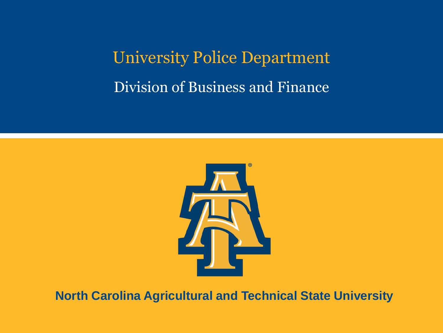University Police Department Division of Business and Finance



**North Carolina Agricultural and Technical State University**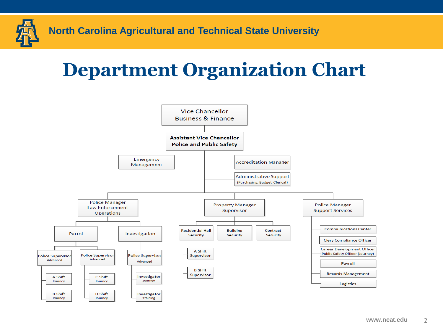

### **Department Organization Chart**

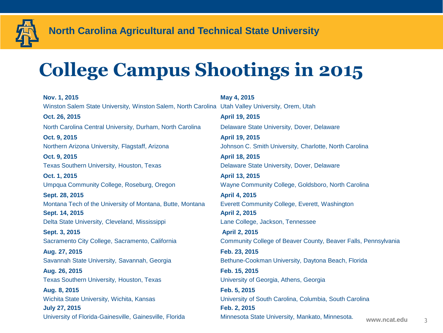

## **College Campus Shootings in 2015**

**Nov. 1, 2015 May 4, 2015** Winston Salem State University, Winston Salem, North Carolina Utah Valley University, Orem, Utah **Oct. 26, 2015 April 19, 2015** North Carolina Central University, Durham, North Carolina Delaware State University, Dover, Delaware **Oct. 9, 2015 April 19, 2015**  Northern Arizona University, Flagstaff, Arizona Johnson C. Smith University, Charlotte, North Carolina **Oct. 9, 2015 April 18, 2015** Texas Southern University, Houston, Texas **Delaware State University, Dover, Delaware Oct. 1, 2015 April 13, 2015**  Umpqua Community College, Roseburg, Oregon Wayne Community College, Goldsboro, North Carolina **Sept. 28, 2015 April 4, 2015** Montana Tech of the University of Montana, Butte, Montana Everett Community College, Everett, Washington **Sept. 14, 2015 April 2, 2015** Delta State University, Cleveland, Mississippi Lane College, Jackson, Tennessee **Sept. 3, 2015 April 2, 2015 Aug. 27, 2015 Feb. 23, 2015** Savannah State University, Savannah, Georgia Bethune-Cookman University, Daytona Beach, Florida **Aug. 26, 2015 Feb. 15, 2015** Texas Southern University, Houston, Texas University of Georgia, Athens, Georgia **Aug. 8, 2015 Feb. 5, 2015** Wichita State University, Wichita, Kansas University of South Carolina, Columbia, South Carolina **July 27, 2015 Feb. 2, 2015** University of Florida-Gainesville, Gainesville, Florida Minnesota State University, Mankato, Minnesota. www.ncat.edu

Sacramento City College, Sacramento, California Community College of Beaver County, Beaver Falls, Pennsylvania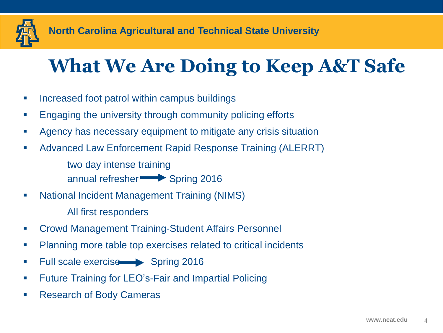

### **What We Are Doing to Keep A&T Safe**

- **Increased foot patrol within campus buildings**
- **Engaging the university through community policing efforts**
- Agency has necessary equipment to mitigate any crisis situation
- Advanced Law Enforcement Rapid Response Training (ALERRT) two day intense training

annual refresher Spring 2016

- National Incident Management Training (NIMS) All first responders
- Crowd Management Training-Student Affairs Personnel
- **Planning more table top exercises related to critical incidents**
- Full scale exercise Spring 2016
- **Future Training for LEO's-Fair and Impartial Policing**
- Research of Body Cameras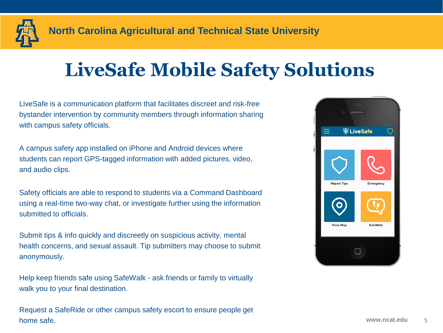

### **LiveSafe Mobile Safety Solutions**

LiveSafe is a communication platform that facilitates discreet and risk-free bystander intervention by community members through information sharing with campus safety officials.

A campus safety app installed on iPhone and Android devices where students can report GPS-tagged information with added pictures, video, and audio clips.

Safety officials are able to respond to students via a Command Dashboard using a real-time two-way chat, or investigate further using the information submitted to officials.

Submit tips & info quickly and discreetly on suspicious activity, mental health concerns, and sexual assault. Tip submitters may choose to submit anonymously.

Help keep friends safe using SafeWalk - ask friends or family to virtually walk you to your final destination.

Request a SafeRide or other campus safety escort to ensure people get home safe. www.ncat.edu by the same same same same same safe.

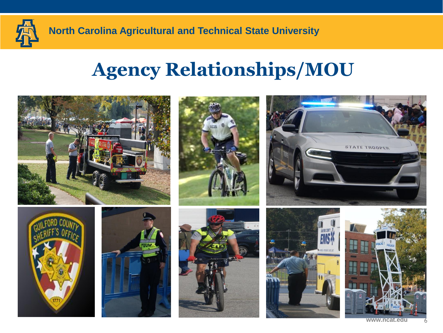

### **Agency Relationships/MOU**



www.nca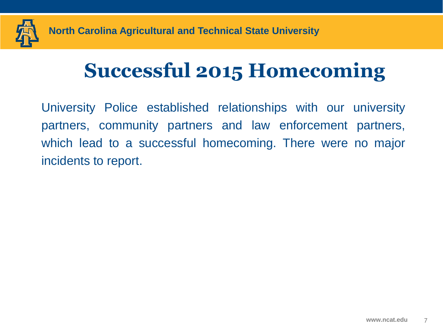

# **Successful 2015 Homecoming**

University Police established relationships with our university partners, community partners and law enforcement partners, which lead to a successful homecoming. There were no major incidents to report.